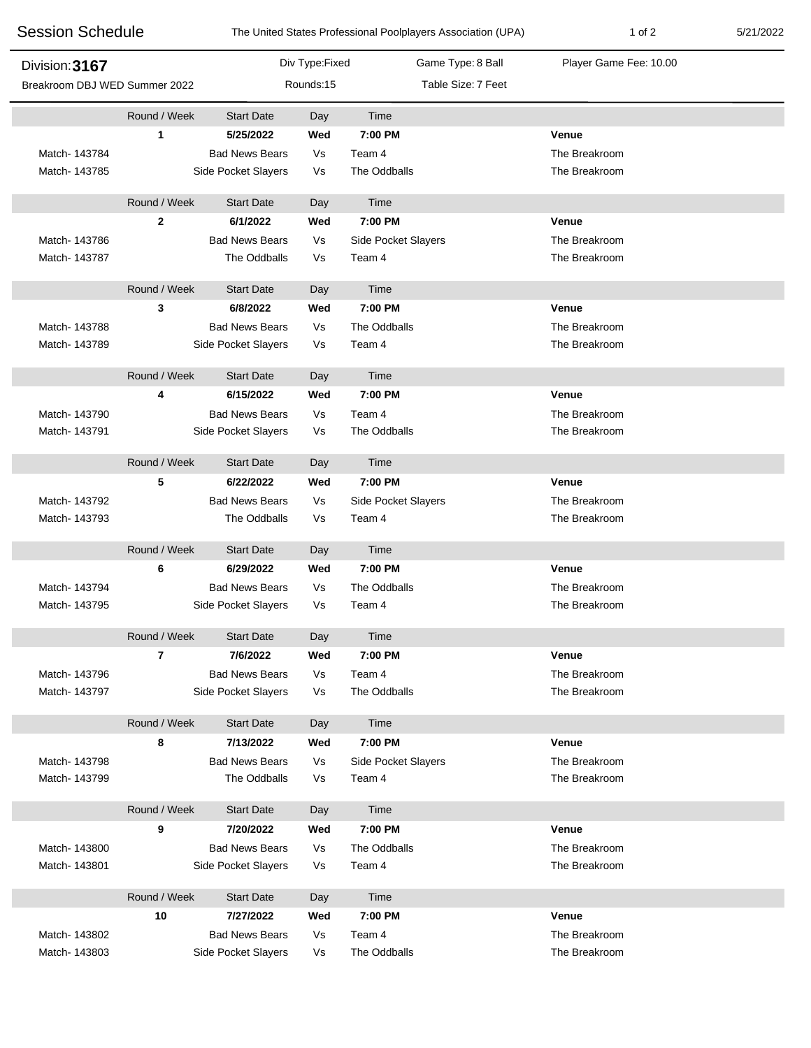| <b>Session Schedule</b>       |              |                       |                | The United States Professional Poolplayers Association (UPA) | 1 of 2                 | 5/21/2022 |
|-------------------------------|--------------|-----------------------|----------------|--------------------------------------------------------------|------------------------|-----------|
| Division: 3167                |              |                       | Div Type:Fixed | Game Type: 8 Ball                                            | Player Game Fee: 10.00 |           |
| Breakroom DBJ WED Summer 2022 |              | Rounds:15             |                | Table Size: 7 Feet                                           |                        |           |
|                               | Round / Week | <b>Start Date</b>     | Day            | Time                                                         |                        |           |
|                               | 1            | 5/25/2022             | Wed            | 7:00 PM                                                      | Venue                  |           |
| Match- 143784                 |              | <b>Bad News Bears</b> | Vs             | Team 4                                                       | The Breakroom          |           |
| Match-143785                  |              | Side Pocket Slayers   | Vs             | The Oddballs                                                 | The Breakroom          |           |
|                               | Round / Week | <b>Start Date</b>     | Day            | Time                                                         |                        |           |
|                               | $\mathbf{2}$ | 6/1/2022              | Wed            | 7:00 PM                                                      | Venue                  |           |
| Match-143786                  |              | <b>Bad News Bears</b> | Vs             | Side Pocket Slayers                                          | The Breakroom          |           |
| Match- 143787                 |              | The Oddballs          | Vs             | Team 4                                                       | The Breakroom          |           |
|                               | Round / Week | <b>Start Date</b>     | Day            | Time                                                         |                        |           |
|                               | 3            | 6/8/2022              | Wed            | 7:00 PM                                                      | Venue                  |           |
| Match- 143788                 |              | <b>Bad News Bears</b> | Vs             | The Oddballs                                                 | The Breakroom          |           |
| Match- 143789                 |              | Side Pocket Slayers   | Vs             | Team 4                                                       | The Breakroom          |           |
|                               | Round / Week | <b>Start Date</b>     | Day            | Time                                                         |                        |           |
|                               | 4            | 6/15/2022             | Wed            | 7:00 PM                                                      | Venue                  |           |
| Match-143790                  |              | <b>Bad News Bears</b> | Vs             | Team 4                                                       | The Breakroom          |           |
| Match-143791                  |              | Side Pocket Slayers   | Vs             | The Oddballs                                                 | The Breakroom          |           |
|                               | Round / Week | <b>Start Date</b>     | Day            | Time                                                         |                        |           |
|                               | 5            | 6/22/2022             | Wed            | 7:00 PM                                                      | <b>Venue</b>           |           |
| Match-143792                  |              | <b>Bad News Bears</b> | Vs             | Side Pocket Slayers                                          | The Breakroom          |           |
| Match-143793                  |              | The Oddballs          | Vs             | Team 4                                                       | The Breakroom          |           |
|                               | Round / Week | <b>Start Date</b>     | Day            | Time                                                         |                        |           |
|                               | 6            | 6/29/2022             | Wed            | 7:00 PM                                                      | Venue                  |           |
| Match- 143794                 |              | <b>Bad News Bears</b> | Vs             | The Oddballs                                                 | The Breakroom          |           |
| Match-143795                  |              | Side Pocket Slayers   | Vs             | Team 4                                                       | The Breakroom          |           |
|                               | Round / Week | <b>Start Date</b>     | Day            | Time                                                         |                        |           |
|                               | 7            | 7/6/2022              | Wed            | 7:00 PM                                                      | Venue                  |           |
| Match-143796                  |              | <b>Bad News Bears</b> | Vs             | Team 4                                                       | The Breakroom          |           |
| Match- 143797                 |              | Side Pocket Slayers   | Vs             | The Oddballs                                                 | The Breakroom          |           |
|                               | Round / Week | <b>Start Date</b>     | Day            | Time                                                         |                        |           |
|                               | 8            | 7/13/2022             | Wed            | 7:00 PM                                                      | Venue                  |           |
| Match- 143798                 |              | <b>Bad News Bears</b> | Vs             | Side Pocket Slayers                                          | The Breakroom          |           |
| Match- 143799                 |              | The Oddballs          | Vs             | Team 4                                                       | The Breakroom          |           |
|                               | Round / Week | <b>Start Date</b>     | Day            | Time                                                         |                        |           |
|                               | 9            | 7/20/2022             | Wed            | 7:00 PM                                                      | Venue                  |           |
| Match- 143800                 |              | <b>Bad News Bears</b> | Vs             | The Oddballs                                                 | The Breakroom          |           |
| Match-143801                  |              | Side Pocket Slayers   | Vs             | Team 4                                                       | The Breakroom          |           |
|                               | Round / Week | <b>Start Date</b>     | Day            | Time                                                         |                        |           |
|                               | 10           | 7/27/2022             | Wed            | 7:00 PM                                                      | Venue                  |           |
| Match- 143802                 |              | <b>Bad News Bears</b> | Vs             | Team 4                                                       | The Breakroom          |           |
| Match-143803                  |              | Side Pocket Slayers   | Vs             | The Oddballs                                                 | The Breakroom          |           |